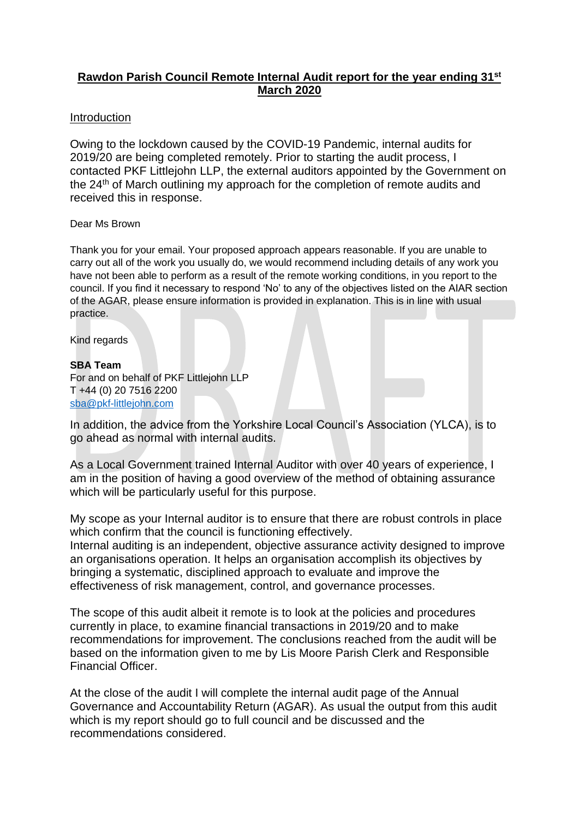# **Rawdon Parish Council Remote Internal Audit report for the year ending 31st March 2020**

#### Introduction

Owing to the lockdown caused by the COVID-19 Pandemic, internal audits for 2019/20 are being completed remotely. Prior to starting the audit process, I contacted PKF Littlejohn LLP, the external auditors appointed by the Government on the 24<sup>th</sup> of March outlining my approach for the completion of remote audits and received this in response.

#### Dear Ms Brown

Thank you for your email. Your proposed approach appears reasonable. If you are unable to carry out all of the work you usually do, we would recommend including details of any work you have not been able to perform as a result of the remote working conditions, in you report to the council. If you find it necessary to respond 'No' to any of the objectives listed on the AIAR section of the AGAR, please ensure information is provided in explanation. This is in line with usual practice.

Kind regards

#### **SBA Team**

For and on behalf of PKF Littlejohn LLP T +44 (0) 20 7516 2200 [sba@pkf-littlejohn.com](mailto:sba@pkf-littlejohn.com)

In addition, the advice from the Yorkshire Local Council's Association (YLCA), is to go ahead as normal with internal audits.

As a Local Government trained Internal Auditor with over 40 years of experience, I am in the position of having a good overview of the method of obtaining assurance which will be particularly useful for this purpose.

My scope as your Internal auditor is to ensure that there are robust controls in place which confirm that the council is functioning effectively.

Internal auditing is an independent, objective assurance activity designed to improve an organisations operation. It helps an organisation accomplish its objectives by bringing a systematic, disciplined approach to evaluate and improve the effectiveness of risk management, control, and governance processes.

The scope of this audit albeit it remote is to look at the policies and procedures currently in place, to examine financial transactions in 2019/20 and to make recommendations for improvement. The conclusions reached from the audit will be based on the information given to me by Lis Moore Parish Clerk and Responsible Financial Officer.

At the close of the audit I will complete the internal audit page of the Annual Governance and Accountability Return (AGAR). As usual the output from this audit which is my report should go to full council and be discussed and the recommendations considered.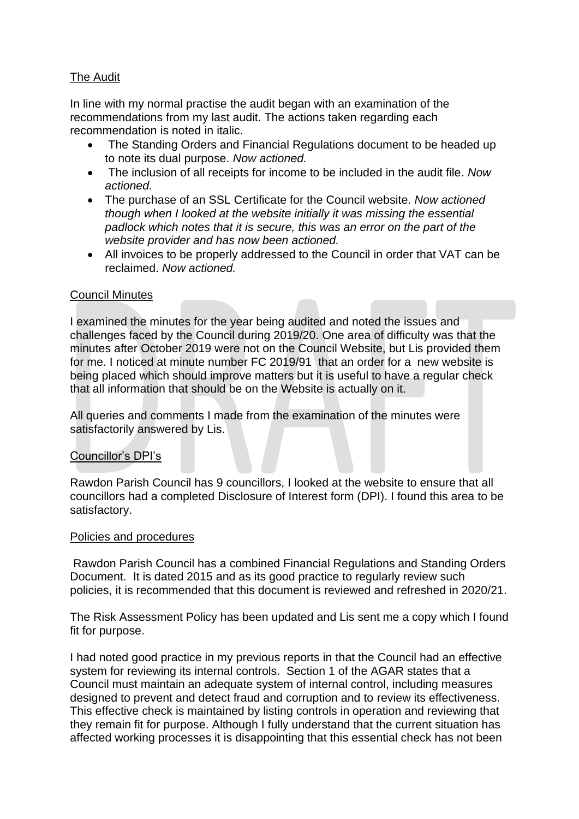# The Audit

In line with my normal practise the audit began with an examination of the recommendations from my last audit. The actions taken regarding each recommendation is noted in italic.

- The Standing Orders and Financial Regulations document to be headed up to note its dual purpose. *Now actioned.*
- The inclusion of all receipts for income to be included in the audit file. *Now actioned.*
- The purchase of an SSL Certificate for the Council website. *Now actioned though when I looked at the website initially it was missing the essential padlock which notes that it is secure, this was an error on the part of the website provider and has now been actioned.*
- All invoices to be properly addressed to the Council in order that VAT can be reclaimed. *Now actioned.*

### Council Minutes

I examined the minutes for the year being audited and noted the issues and challenges faced by the Council during 2019/20. One area of difficulty was that the minutes after October 2019 were not on the Council Website, but Lis provided them for me. I noticed at minute number FC 2019/91 that an order for a new website is being placed which should improve matters but it is useful to have a regular check that all information that should be on the Website is actually on it.

All queries and comments I made from the examination of the minutes were satisfactorily answered by Lis.

### Councillor's DPI's

Rawdon Parish Council has 9 councillors, I looked at the website to ensure that all councillors had a completed Disclosure of Interest form (DPI). I found this area to be satisfactory.

### Policies and procedures

Rawdon Parish Council has a combined Financial Regulations and Standing Orders Document. It is dated 2015 and as its good practice to regularly review such policies, it is recommended that this document is reviewed and refreshed in 2020/21.

The Risk Assessment Policy has been updated and Lis sent me a copy which I found fit for purpose.

I had noted good practice in my previous reports in that the Council had an effective system for reviewing its internal controls. Section 1 of the AGAR states that a Council must maintain an adequate system of internal control, including measures designed to prevent and detect fraud and corruption and to review its effectiveness. This effective check is maintained by listing controls in operation and reviewing that they remain fit for purpose. Although I fully understand that the current situation has affected working processes it is disappointing that this essential check has not been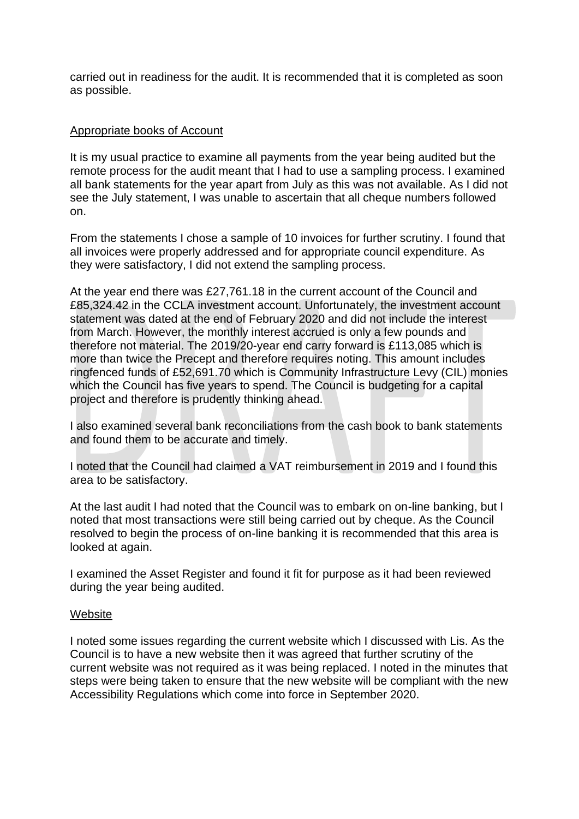carried out in readiness for the audit. It is recommended that it is completed as soon as possible.

### Appropriate books of Account

It is my usual practice to examine all payments from the year being audited but the remote process for the audit meant that I had to use a sampling process. I examined all bank statements for the year apart from July as this was not available. As I did not see the July statement, I was unable to ascertain that all cheque numbers followed on.

From the statements I chose a sample of 10 invoices for further scrutiny. I found that all invoices were properly addressed and for appropriate council expenditure. As they were satisfactory, I did not extend the sampling process.

At the year end there was £27,761.18 in the current account of the Council and £85,324.42 in the CCLA investment account. Unfortunately, the investment account statement was dated at the end of February 2020 and did not include the interest from March. However, the monthly interest accrued is only a few pounds and therefore not material. The 2019/20-year end carry forward is £113,085 which is more than twice the Precept and therefore requires noting. This amount includes ringfenced funds of £52,691.70 which is Community Infrastructure Levy (CIL) monies which the Council has five years to spend. The Council is budgeting for a capital project and therefore is prudently thinking ahead.

I also examined several bank reconciliations from the cash book to bank statements and found them to be accurate and timely.

I noted that the Council had claimed a VAT reimbursement in 2019 and I found this area to be satisfactory.

At the last audit I had noted that the Council was to embark on on-line banking, but I noted that most transactions were still being carried out by cheque. As the Council resolved to begin the process of on-line banking it is recommended that this area is looked at again.

I examined the Asset Register and found it fit for purpose as it had been reviewed during the year being audited.

#### **Website**

I noted some issues regarding the current website which I discussed with Lis. As the Council is to have a new website then it was agreed that further scrutiny of the current website was not required as it was being replaced. I noted in the minutes that steps were being taken to ensure that the new website will be compliant with the new Accessibility Regulations which come into force in September 2020.